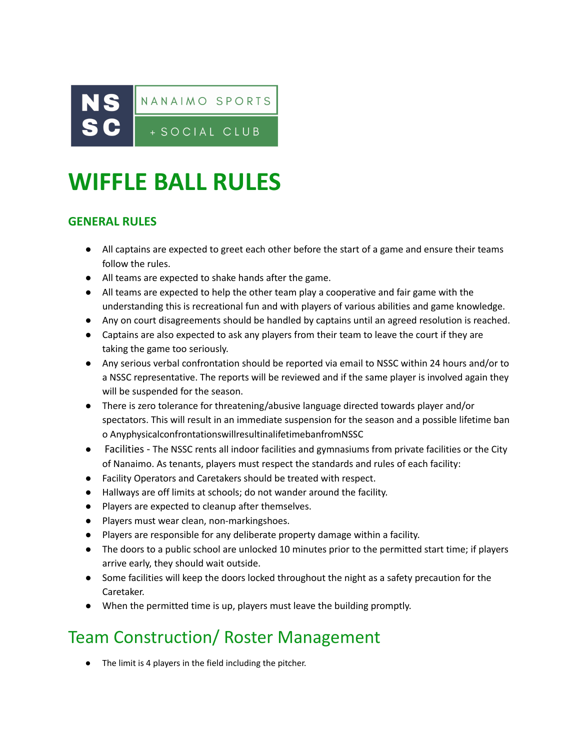

# **WIFFLE BALL RULES**

#### **GENERAL RULES**

- All captains are expected to greet each other before the start of a game and ensure their teams follow the rules.
- All teams are expected to shake hands after the game.
- All teams are expected to help the other team play a cooperative and fair game with the understanding this is recreational fun and with players of various abilities and game knowledge.
- Any on court disagreements should be handled by captains until an agreed resolution is reached.
- Captains are also expected to ask any players from their team to leave the court if they are taking the game too seriously.
- Any serious verbal confrontation should be reported via email to NSSC within 24 hours and/or to a NSSC representative. The reports will be reviewed and if the same player is involved again they will be suspended for the season.
- There is zero tolerance for threatening/abusive language directed towards player and/or spectators. This will result in an immediate suspension for the season and a possible lifetime ban o AnyphysicalconfrontationswillresultinalifetimebanfromNSSC
- Facilities The NSSC rents all indoor facilities and gymnasiums from private facilities or the City of Nanaimo. As tenants, players must respect the standards and rules of each facility:
- Facility Operators and Caretakers should be treated with respect.
- Hallways are off limits at schools; do not wander around the facility.
- Players are expected to cleanup after themselves.
- Players must wear clean, non-markingshoes.
- Players are responsible for any deliberate property damage within a facility.
- The doors to a public school are unlocked 10 minutes prior to the permitted start time; if players arrive early, they should wait outside.
- Some facilities will keep the doors locked throughout the night as a safety precaution for the Caretaker.
- When the permitted time is up, players must leave the building promptly.

## Team Construction/ Roster Management

● The limit is 4 players in the field including the pitcher.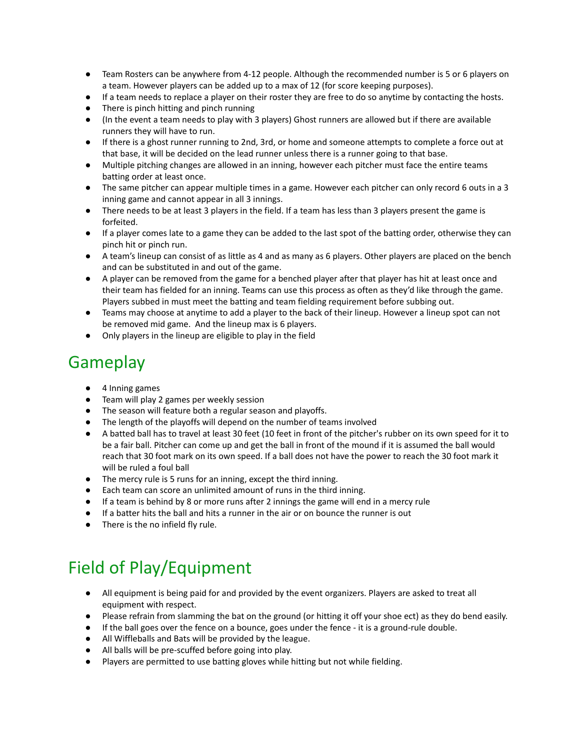- Team Rosters can be anywhere from 4-12 people. Although the recommended number is 5 or 6 players on a team. However players can be added up to a max of 12 (for score keeping purposes).
- If a team needs to replace a player on their roster they are free to do so anytime by contacting the hosts.
- There is pinch hitting and pinch running
- (In the event a team needs to play with 3 players) Ghost runners are allowed but if there are available runners they will have to run.
- If there is a ghost runner running to 2nd, 3rd, or home and someone attempts to complete a force out at that base, it will be decided on the lead runner unless there is a runner going to that base.
- Multiple pitching changes are allowed in an inning, however each pitcher must face the entire teams batting order at least once.
- The same pitcher can appear multiple times in a game. However each pitcher can only record 6 outs in a 3 inning game and cannot appear in all 3 innings.
- There needs to be at least 3 players in the field. If a team has less than 3 players present the game is forfeited.
- If a player comes late to a game they can be added to the last spot of the batting order, otherwise they can pinch hit or pinch run.
- A team's lineup can consist of as little as 4 and as many as 6 players. Other players are placed on the bench and can be substituted in and out of the game.
- A player can be removed from the game for a benched player after that player has hit at least once and their team has fielded for an inning. Teams can use this process as often as they'd like through the game. Players subbed in must meet the batting and team fielding requirement before subbing out.
- Teams may choose at anytime to add a player to the back of their lineup. However a lineup spot can not be removed mid game. And the lineup max is 6 players.
- Only players in the lineup are eligible to play in the field

## Gameplay

- 4 Inning games
- Team will play 2 games per weekly session
- The season will feature both a regular season and playoffs.
- The length of the playoffs will depend on the number of teams involved
- A batted ball has to travel at least 30 feet (10 feet in front of the pitcher's rubber on its own speed for it to be a fair ball. Pitcher can come up and get the ball in front of the mound if it is assumed the ball would reach that 30 foot mark on its own speed. If a ball does not have the power to reach the 30 foot mark it will be ruled a foul ball
- The mercy rule is 5 runs for an inning, except the third inning.
- Each team can score an unlimited amount of runs in the third inning.
- If a team is behind by 8 or more runs after 2 innings the game will end in a mercy rule
- If a batter hits the ball and hits a runner in the air or on bounce the runner is out
- There is the no infield fly rule.

## Field of Play/Equipment

- All equipment is being paid for and provided by the event organizers. Players are asked to treat all equipment with respect.
- Please refrain from slamming the bat on the ground (or hitting it off your shoe ect) as they do bend easily.
- If the ball goes over the fence on a bounce, goes under the fence it is a ground-rule double.
- All Wiffleballs and Bats will be provided by the league.
- All balls will be pre-scuffed before going into play.
- Players are permitted to use batting gloves while hitting but not while fielding.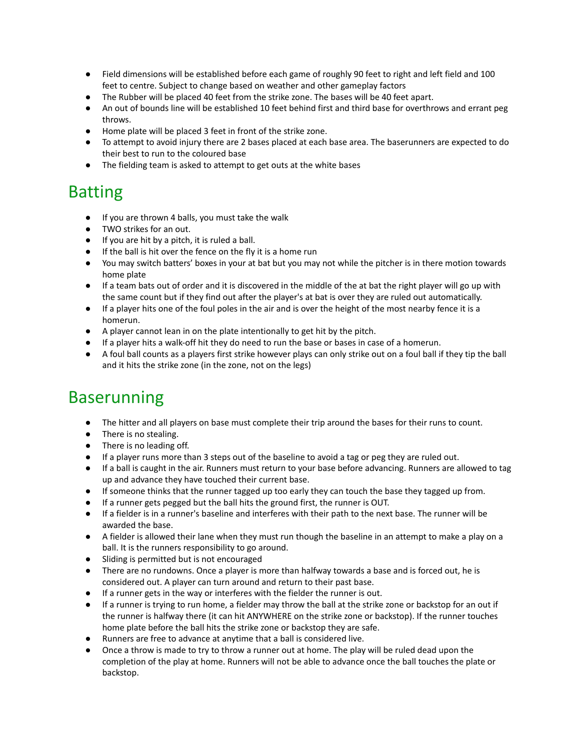- Field dimensions will be established before each game of roughly 90 feet to right and left field and 100 feet to centre. Subject to change based on weather and other gameplay factors
- The Rubber will be placed 40 feet from the strike zone. The bases will be 40 feet apart.
- An out of bounds line will be established 10 feet behind first and third base for overthrows and errant peg throws.
- Home plate will be placed 3 feet in front of the strike zone.
- To attempt to avoid injury there are 2 bases placed at each base area. The baserunners are expected to do their best to run to the coloured base
- The fielding team is asked to attempt to get outs at the white bases

### Batting

- If you are thrown 4 balls, you must take the walk
- TWO strikes for an out.
- If you are hit by a pitch, it is ruled a ball.
- If the ball is hit over the fence on the fly it is a home run
- You may switch batters' boxes in your at bat but you may not while the pitcher is in there motion towards home plate
- If a team bats out of order and it is discovered in the middle of the at bat the right player will go up with the same count but if they find out after the player's at bat is over they are ruled out automatically.
- If a player hits one of the foul poles in the air and is over the height of the most nearby fence it is a homerun.
- A player cannot lean in on the plate intentionally to get hit by the pitch.
- If a player hits a walk-off hit they do need to run the base or bases in case of a homerun.
- A foul ball counts as a players first strike however plays can only strike out on a foul ball if they tip the ball and it hits the strike zone (in the zone, not on the legs)

#### Baserunning

- The hitter and all players on base must complete their trip around the bases for their runs to count.
- There is no stealing.
- There is no leading off.
- If a player runs more than 3 steps out of the baseline to avoid a tag or peg they are ruled out.
- If a ball is caught in the air. Runners must return to your base before advancing. Runners are allowed to tag up and advance they have touched their current base.
- If someone thinks that the runner tagged up too early they can touch the base they tagged up from.
- If a runner gets pegged but the ball hits the ground first, the runner is OUT.
- If a fielder is in a runner's baseline and interferes with their path to the next base. The runner will be awarded the base.
- A fielder is allowed their lane when they must run though the baseline in an attempt to make a play on a ball. It is the runners responsibility to go around.
- Sliding is permitted but is not encouraged
- There are no rundowns. Once a player is more than halfway towards a base and is forced out, he is considered out. A player can turn around and return to their past base.
- If a runner gets in the way or interferes with the fielder the runner is out.
- If a runner is trying to run home, a fielder may throw the ball at the strike zone or backstop for an out if the runner is halfway there (it can hit ANYWHERE on the strike zone or backstop). If the runner touches home plate before the ball hits the strike zone or backstop they are safe.
- Runners are free to advance at anytime that a ball is considered live.
- Once a throw is made to try to throw a runner out at home. The play will be ruled dead upon the completion of the play at home. Runners will not be able to advance once the ball touches the plate or backstop.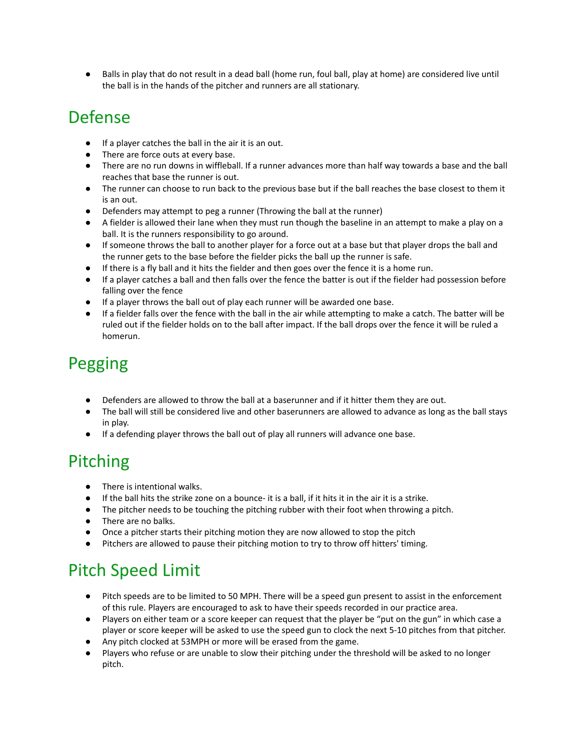● Balls in play that do not result in a dead ball (home run, foul ball, play at home) are considered live until the ball is in the hands of the pitcher and runners are all stationary.

## Defense

- If a player catches the ball in the air it is an out.
- There are force outs at every base.
- There are no run downs in wiffleball. If a runner advances more than half way towards a base and the ball reaches that base the runner is out.
- The runner can choose to run back to the previous base but if the ball reaches the base closest to them it is an out.
- Defenders may attempt to peg a runner (Throwing the ball at the runner)
- A fielder is allowed their lane when they must run though the baseline in an attempt to make a play on a ball. It is the runners responsibility to go around.
- If someone throws the ball to another player for a force out at a base but that player drops the ball and the runner gets to the base before the fielder picks the ball up the runner is safe.
- If there is a fly ball and it hits the fielder and then goes over the fence it is a home run.
- If a player catches a ball and then falls over the fence the batter is out if the fielder had possession before falling over the fence
- If a player throws the ball out of play each runner will be awarded one base.
- If a fielder falls over the fence with the ball in the air while attempting to make a catch. The batter will be ruled out if the fielder holds on to the ball after impact. If the ball drops over the fence it will be ruled a homerun.

## Pegging

- Defenders are allowed to throw the ball at a baserunner and if it hitter them they are out.
- The ball will still be considered live and other baserunners are allowed to advance as long as the ball stays in play.
- If a defending player throws the ball out of play all runners will advance one base.

## Pitching

- There is intentional walks.
- If the ball hits the strike zone on a bounce- it is a ball, if it hits it in the air it is a strike.
- The pitcher needs to be touching the pitching rubber with their foot when throwing a pitch.
- There are no balks.
- Once a pitcher starts their pitching motion they are now allowed to stop the pitch
- Pitchers are allowed to pause their pitching motion to try to throw off hitters' timing.

## Pitch Speed Limit

- Pitch speeds are to be limited to 50 MPH. There will be a speed gun present to assist in the enforcement of this rule. Players are encouraged to ask to have their speeds recorded in our practice area.
- Players on either team or a score keeper can request that the player be "put on the gun" in which case a player or score keeper will be asked to use the speed gun to clock the next 5-10 pitches from that pitcher.
- Any pitch clocked at 53MPH or more will be erased from the game.
- Players who refuse or are unable to slow their pitching under the threshold will be asked to no longer pitch.